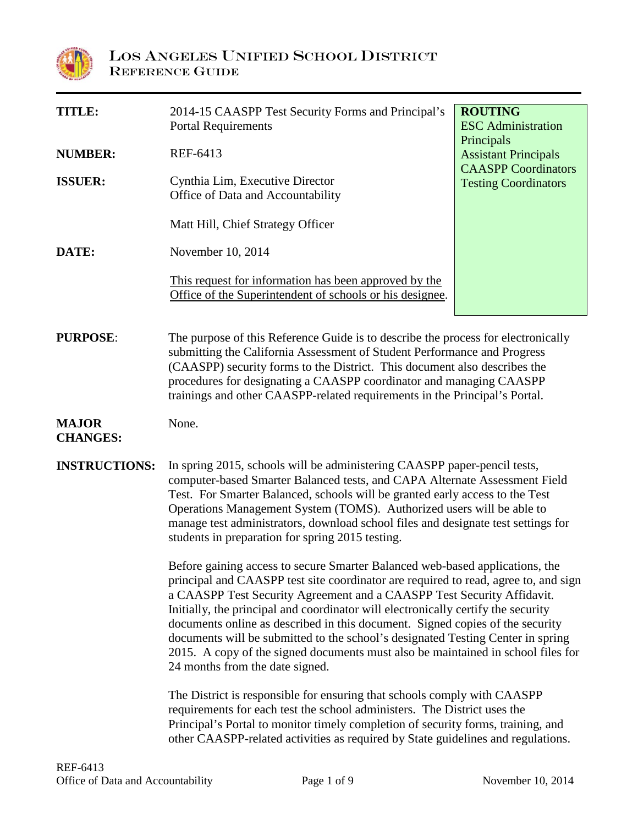

| <b>TITLE:</b>                   | 2014-15 CAASPP Test Security Forms and Principal's<br><b>Portal Requirements</b>                                                                                                                                                                                                                                                                                                                                                                                                                                                                                                                                              | <b>ROUTING</b><br><b>ESC</b> Administration<br>Principals<br><b>Assistant Principals</b><br><b>CAASPP</b> Coordinators<br><b>Testing Coordinators</b> |  |  |  |
|---------------------------------|-------------------------------------------------------------------------------------------------------------------------------------------------------------------------------------------------------------------------------------------------------------------------------------------------------------------------------------------------------------------------------------------------------------------------------------------------------------------------------------------------------------------------------------------------------------------------------------------------------------------------------|-------------------------------------------------------------------------------------------------------------------------------------------------------|--|--|--|
| <b>NUMBER:</b>                  | REF-6413                                                                                                                                                                                                                                                                                                                                                                                                                                                                                                                                                                                                                      |                                                                                                                                                       |  |  |  |
| <b>ISSUER:</b>                  | Cynthia Lim, Executive Director<br>Office of Data and Accountability                                                                                                                                                                                                                                                                                                                                                                                                                                                                                                                                                          |                                                                                                                                                       |  |  |  |
|                                 | Matt Hill, Chief Strategy Officer                                                                                                                                                                                                                                                                                                                                                                                                                                                                                                                                                                                             |                                                                                                                                                       |  |  |  |
| DATE:                           | November 10, 2014                                                                                                                                                                                                                                                                                                                                                                                                                                                                                                                                                                                                             |                                                                                                                                                       |  |  |  |
|                                 | This request for information has been approved by the<br>Office of the Superintendent of schools or his designee.                                                                                                                                                                                                                                                                                                                                                                                                                                                                                                             |                                                                                                                                                       |  |  |  |
| <b>PURPOSE:</b>                 | The purpose of this Reference Guide is to describe the process for electronically<br>submitting the California Assessment of Student Performance and Progress<br>(CAASPP) security forms to the District. This document also describes the<br>procedures for designating a CAASPP coordinator and managing CAASPP<br>trainings and other CAASPP-related requirements in the Principal's Portal.                                                                                                                                                                                                                               |                                                                                                                                                       |  |  |  |
| <b>MAJOR</b><br><b>CHANGES:</b> | None.                                                                                                                                                                                                                                                                                                                                                                                                                                                                                                                                                                                                                         |                                                                                                                                                       |  |  |  |
| <b>INSTRUCTIONS:</b>            | In spring 2015, schools will be administering CAASPP paper-pencil tests,<br>computer-based Smarter Balanced tests, and CAPA Alternate Assessment Field<br>Test. For Smarter Balanced, schools will be granted early access to the Test<br>Operations Management System (TOMS). Authorized users will be able to<br>manage test administrators, download school files and designate test settings for<br>students in preparation for spring 2015 testing.                                                                                                                                                                      |                                                                                                                                                       |  |  |  |
|                                 | Before gaining access to secure Smarter Balanced web-based applications, the<br>principal and CAASPP test site coordinator are required to read, agree to, and sign<br>a CAASPP Test Security Agreement and a CAASPP Test Security Affidavit.<br>Initially, the principal and coordinator will electronically certify the security<br>documents online as described in this document. Signed copies of the security<br>documents will be submitted to the school's designated Testing Center in spring<br>2015. A copy of the signed documents must also be maintained in school files for<br>24 months from the date signed. |                                                                                                                                                       |  |  |  |
|                                 | The District is responsible for ensuring that schools comply with CAASPP<br>requirements for each test the school administers. The District uses the<br>Principal's Portal to monitor timely completion of security forms, training, and<br>other CAASPP-related activities as required by State guidelines and regulations.                                                                                                                                                                                                                                                                                                  |                                                                                                                                                       |  |  |  |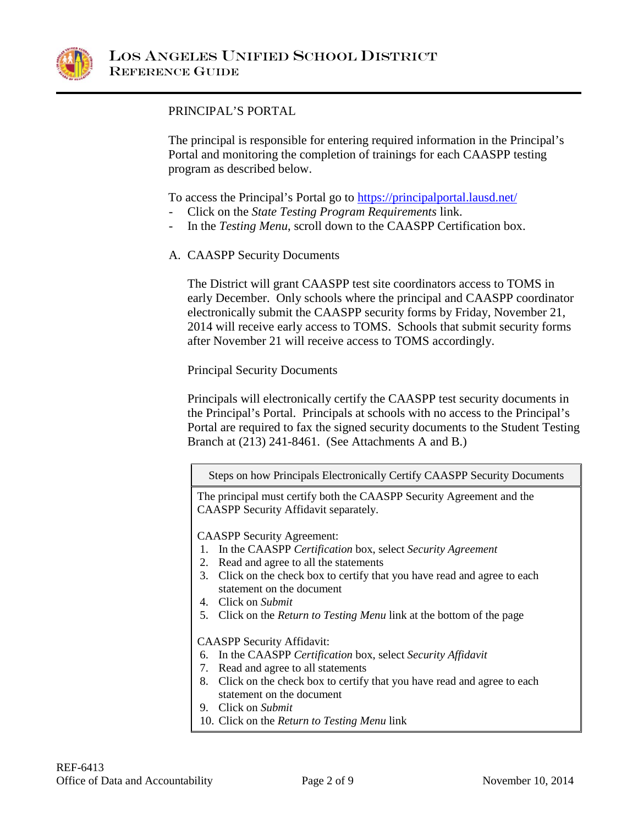

### PRINCIPAL'S PORTAL

The principal is responsible for entering required information in the Principal's Portal and monitoring the completion of trainings for each CAASPP testing program as described below.

To access the Principal's Portal go to **<https://principalportal.lausd.net/>** 

- Click on the *State Testing Program Requirements* link.
- In the *Testing Menu*, scroll down to the CAASPP Certification box.
- A. CAASPP Security Documents

The District will grant CAASPP test site coordinators access to TOMS in early December. Only schools where the principal and CAASPP coordinator electronically submit the CAASPP security forms by Friday, November 21, 2014 will receive early access to TOMS. Schools that submit security forms after November 21 will receive access to TOMS accordingly.

Principal Security Documents

Principals will electronically certify the CAASPP test security documents in the Principal's Portal. Principals at schools with no access to the Principal's Portal are required to fax the signed security documents to the Student Testing Branch at (213) 241-8461. (See Attachments A and B.)

Steps on how Principals Electronically Certify CAASPP Security Documents

The principal must certify both the CAASPP Security Agreement and the CAASPP Security Affidavit separately.

CAASPP Security Agreement:

- 1. In the CAASPP *Certification* box, select *Security Agreement*
- 2. Read and agree to all the statements
- 3. Click on the check box to certify that you have read and agree to each statement on the document
- 4. Click on *Submit*
- 5. Click on the *Return to Testing Menu* link at the bottom of the page

CAASPP Security Affidavit:

- 6. In the CAASPP *Certification* box, select *Security Affidavit*
- 7. Read and agree to all statements
- 8. Click on the check box to certify that you have read and agree to each statement on the document
- 9. Click on *Submit*
- 10. Click on the *Return to Testing Menu* link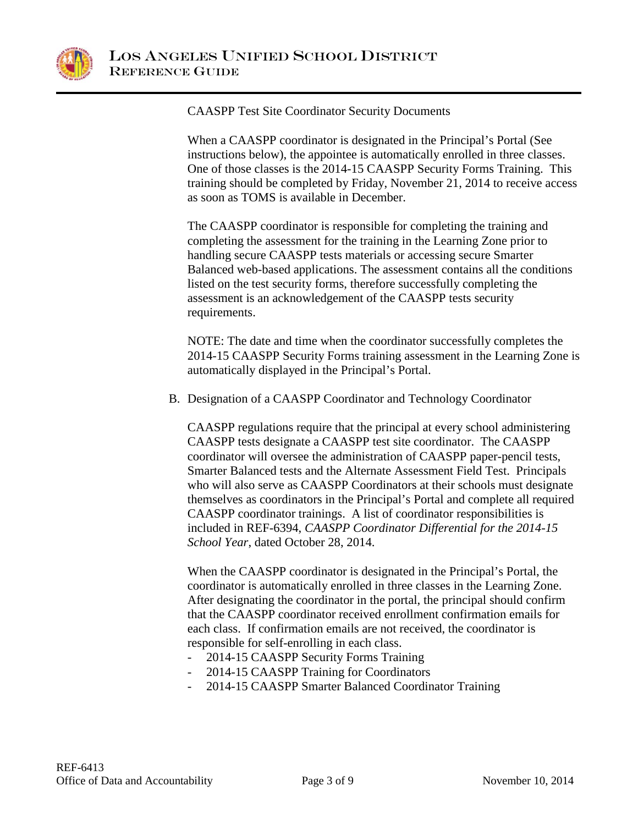

CAASPP Test Site Coordinator Security Documents

When a CAASPP coordinator is designated in the Principal's Portal (See instructions below), the appointee is automatically enrolled in three classes. One of those classes is the 2014-15 CAASPP Security Forms Training. This training should be completed by Friday, November 21, 2014 to receive access as soon as TOMS is available in December.

The CAASPP coordinator is responsible for completing the training and completing the assessment for the training in the Learning Zone prior to handling secure CAASPP tests materials or accessing secure Smarter Balanced web-based applications. The assessment contains all the conditions listed on the test security forms, therefore successfully completing the assessment is an acknowledgement of the CAASPP tests security requirements.

NOTE: The date and time when the coordinator successfully completes the 2014-15 CAASPP Security Forms training assessment in the Learning Zone is automatically displayed in the Principal's Portal.

B. Designation of a CAASPP Coordinator and Technology Coordinator

CAASPP regulations require that the principal at every school administering CAASPP tests designate a CAASPP test site coordinator. The CAASPP coordinator will oversee the administration of CAASPP paper-pencil tests, Smarter Balanced tests and the Alternate Assessment Field Test. Principals who will also serve as CAASPP Coordinators at their schools must designate themselves as coordinators in the Principal's Portal and complete all required CAASPP coordinator trainings. A list of coordinator responsibilities is included in REF-6394, *CAASPP Coordinator Differential for the 2014-15 School Year*, dated October 28, 2014.

When the CAASPP coordinator is designated in the Principal's Portal, the coordinator is automatically enrolled in three classes in the Learning Zone. After designating the coordinator in the portal, the principal should confirm that the CAASPP coordinator received enrollment confirmation emails for each class. If confirmation emails are not received, the coordinator is responsible for self-enrolling in each class.

- 2014-15 CAASPP Security Forms Training
- 2014-15 CAASPP Training for Coordinators
- 2014-15 CAASPP Smarter Balanced Coordinator Training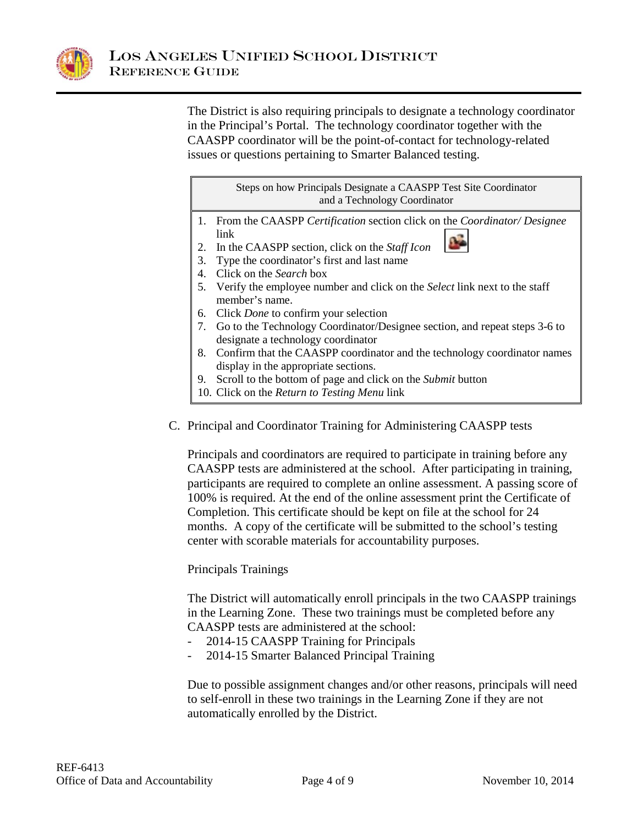

The District is also requiring principals to designate a technology coordinator in the Principal's Portal. The technology coordinator together with the CAASPP coordinator will be the point-of-contact for technology-related issues or questions pertaining to Smarter Balanced testing.

> Steps on how Principals Designate a CAASPP Test Site Coordinator and a Technology Coordinator

- 1. From the CAASPP *Certification* section click on the *Coordinator/ Designee*  link  $\mathbf{L}$
- 2. In the CAASPP section, click on the *Staff Icon*
- 3. Type the coordinator's first and last name
- 4. Click on the *Search* box
- 5. Verify the employee number and click on the *Select* link next to the staff member's name.
- 6. Click *Done* to confirm your selection
- 7. Go to the Technology Coordinator/Designee section, and repeat steps 3-6 to designate a technology coordinator
- 8. Confirm that the CAASPP coordinator and the technology coordinator names display in the appropriate sections.
- 9. Scroll to the bottom of page and click on the *Submit* button
- 10. Click on the *Return to Testing Menu* link
- C. Principal and Coordinator Training for Administering CAASPP tests

Principals and coordinators are required to participate in training before any CAASPP tests are administered at the school. After participating in training, participants are required to complete an online assessment. A passing score of 100% is required. At the end of the online assessment print the Certificate of Completion. This certificate should be kept on file at the school for 24 months. A copy of the certificate will be submitted to the school's testing center with scorable materials for accountability purposes.

### Principals Trainings

The District will automatically enroll principals in the two CAASPP trainings in the Learning Zone. These two trainings must be completed before any CAASPP tests are administered at the school:

- 2014-15 CAASPP Training for Principals
- 2014-15 Smarter Balanced Principal Training

Due to possible assignment changes and/or other reasons, principals will need to self-enroll in these two trainings in the Learning Zone if they are not automatically enrolled by the District.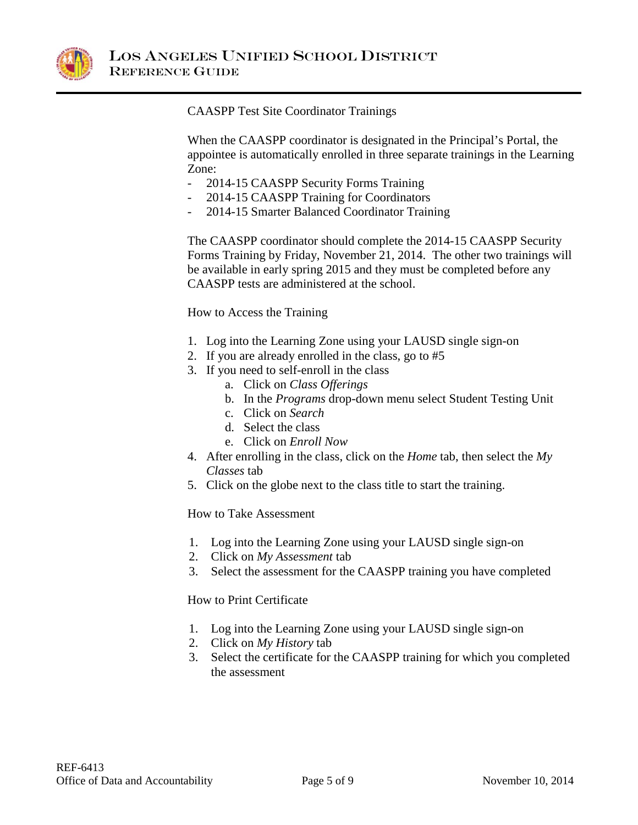

CAASPP Test Site Coordinator Trainings

When the CAASPP coordinator is designated in the Principal's Portal, the appointee is automatically enrolled in three separate trainings in the Learning Zone:

- 2014-15 CAASPP Security Forms Training
- 2014-15 CAASPP Training for Coordinators
- 2014-15 Smarter Balanced Coordinator Training

The CAASPP coordinator should complete the 2014-15 CAASPP Security Forms Training by Friday, November 21, 2014. The other two trainings will be available in early spring 2015 and they must be completed before any CAASPP tests are administered at the school.

How to Access the Training

- 1. Log into the Learning Zone using your LAUSD single sign-on
- 2. If you are already enrolled in the class, go to #5
- 3. If you need to self-enroll in the class
	- a. Click on *Class Offerings*
	- b. In the *Programs* drop-down menu select Student Testing Unit
	- c. Click on *Search*
	- d. Select the class
	- e. Click on *Enroll Now*
- 4. After enrolling in the class, click on the *Home* tab, then select the *My Classes* tab
- 5. Click on the globe next to the class title to start the training.

#### How to Take Assessment

- 1. Log into the Learning Zone using your LAUSD single sign-on
- 2. Click on *My Assessment* tab
- 3. Select the assessment for the CAASPP training you have completed

How to Print Certificate

- 1. Log into the Learning Zone using your LAUSD single sign-on
- 2. Click on *My History* tab
- 3. Select the certificate for the CAASPP training for which you completed the assessment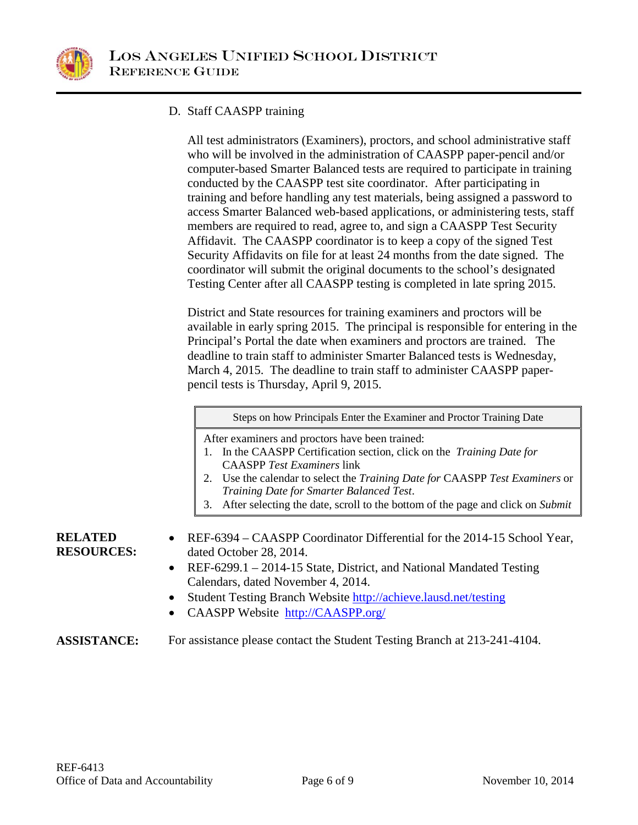

## D. Staff CAASPP training

All test administrators (Examiners), proctors, and school administrative staff who will be involved in the administration of CAASPP paper-pencil and/or computer-based Smarter Balanced tests are required to participate in training conducted by the CAASPP test site coordinator. After participating in training and before handling any test materials, being assigned a password to access Smarter Balanced web-based applications, or administering tests, staff members are required to read, agree to, and sign a CAASPP Test Security Affidavit. The CAASPP coordinator is to keep a copy of the signed Test Security Affidavits on file for at least 24 months from the date signed. The coordinator will submit the original documents to the school's designated Testing Center after all CAASPP testing is completed in late spring 2015.

District and State resources for training examiners and proctors will be available in early spring 2015. The principal is responsible for entering in the Principal's Portal the date when examiners and proctors are trained. The deadline to train staff to administer Smarter Balanced tests is Wednesday, March 4, 2015. The deadline to train staff to administer CAASPP paperpencil tests is Thursday, April 9, 2015.

|  |  | Steps on how Principals Enter the Examiner and Proctor Training Date |
|--|--|----------------------------------------------------------------------|
|  |  |                                                                      |

After examiners and proctors have been trained:

- 1. In the CAASPP Certification section, click on the *Training Date for*  CAASPP *Test Examiners* link
- 2. Use the calendar to select the *Training Date for* CAASPP *Test Examiners* or *Training Date for Smarter Balanced Test*.
- 3. After selecting the date, scroll to the bottom of the page and click on *Submit*

**RELATED RESOURCES:**

- REF-6394 CAASPP Coordinator Differential for the 2014-15 School Year, dated October 28, 2014.
- REF-6299.1 2014-15 State, District, and National Mandated Testing Calendars, dated November 4, 2014.
- Student Testing Branch Website<http://achieve.lausd.net/testing>
- CAASPP Website [http://CAASPP.org/](http://caaspp.org/)

### **ASSISTANCE:** For assistance please contact the Student Testing Branch at 213-241-4104.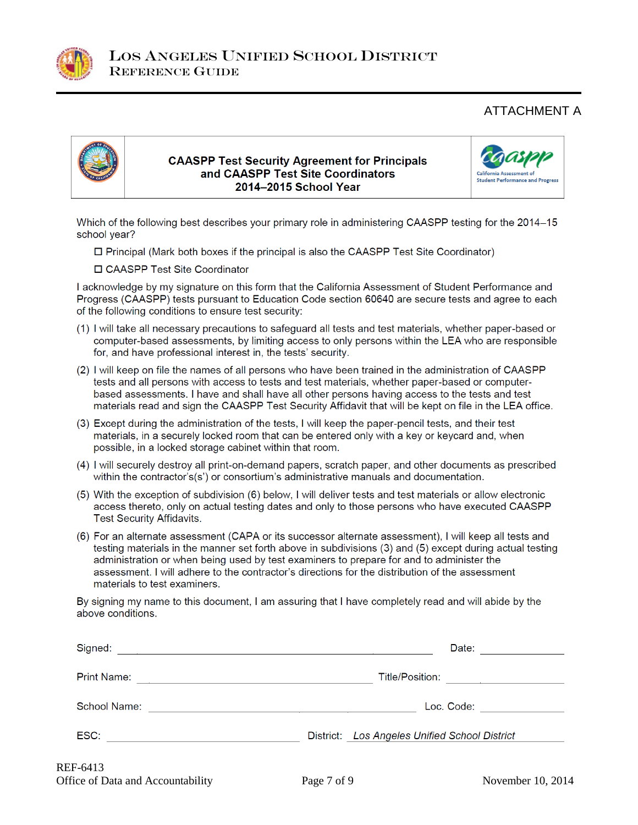

# ATTACHMENT A



#### **CAASPP Test Security Agreement for Principals** and CAASPP Test Site Coordinators 2014-2015 School Year



Which of the following best describes your primary role in administering CAASPP testing for the 2014-15 school year?

□ Principal (Mark both boxes if the principal is also the CAASPP Test Site Coordinator)

□ CAASPP Test Site Coordinator

I acknowledge by my signature on this form that the California Assessment of Student Performance and Progress (CAASPP) tests pursuant to Education Code section 60640 are secure tests and agree to each of the following conditions to ensure test security:

- (1) I will take all necessary precautions to safeguard all tests and test materials, whether paper-based or computer-based assessments, by limiting access to only persons within the LEA who are responsible for, and have professional interest in, the tests' security.
- (2) I will keep on file the names of all persons who have been trained in the administration of CAASPP tests and all persons with access to tests and test materials, whether paper-based or computerbased assessments. I have and shall have all other persons having access to the tests and test materials read and sign the CAASPP Test Security Affidavit that will be kept on file in the LEA office.
- (3) Except during the administration of the tests, I will keep the paper-pencil tests, and their test materials, in a securely locked room that can be entered only with a key or keycard and, when possible, in a locked storage cabinet within that room.
- (4) I will securely destroy all print-on-demand papers, scratch paper, and other documents as prescribed within the contractor's(s') or consortium's administrative manuals and documentation.
- (5) With the exception of subdivision (6) below, I will deliver tests and test materials or allow electronic access thereto, only on actual testing dates and only to those persons who have executed CAASPP **Test Security Affidavits.**
- (6) For an alternate assessment (CAPA or its successor alternate assessment), I will keep all tests and testing materials in the manner set forth above in subdivisions (3) and (5) except during actual testing administration or when being used by test examiners to prepare for and to administer the assessment. I will adhere to the contractor's directions for the distribution of the assessment materials to test examiners.

By signing my name to this document, I am assuring that I have completely read and will abide by the above conditions.

| Signed:             | Date:                                         |
|---------------------|-----------------------------------------------|
| <b>Print Name:</b>  | Title/Position:                               |
| <b>School Name:</b> | Loc. Code:                                    |
| ESC:                | District: Los Angeles Unified School District |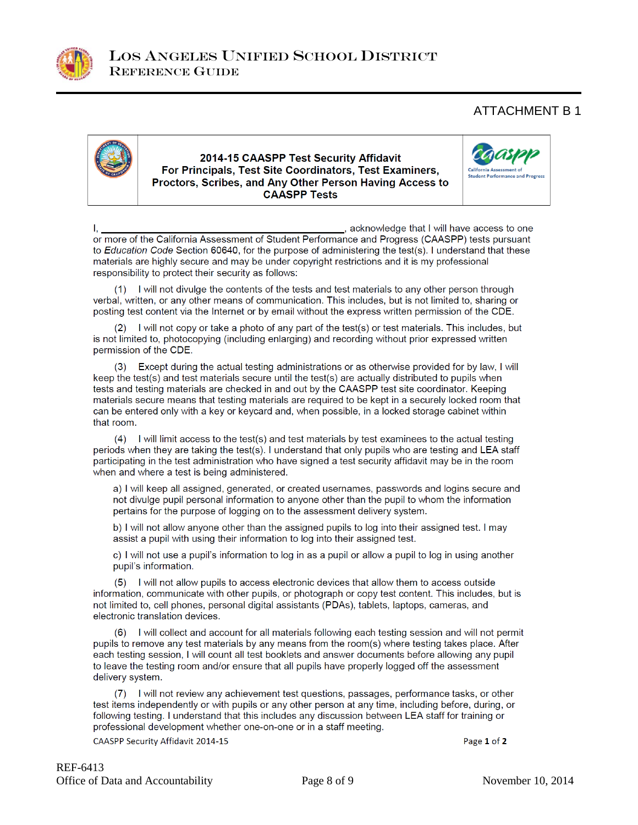

## ATTACHMENT B 1



#### 2014-15 CAASPP Test Security Affidavit For Principals, Test Site Coordinators, Test Examiners, Proctors, Scribes, and Any Other Person Having Access to **CAASPP Tests**



s acknowledge that I will have access to one Ι. or more of the California Assessment of Student Performance and Progress (CAASPP) tests pursuant to Education Code Section 60640, for the purpose of administering the test(s). I understand that these materials are highly secure and may be under copyright restrictions and it is my professional responsibility to protect their security as follows:

(1) I will not divulge the contents of the tests and test materials to any other person through verbal, written, or any other means of communication. This includes, but is not limited to, sharing or posting test content via the Internet or by email without the express written permission of the CDE.

(2) I will not copy or take a photo of any part of the test(s) or test materials. This includes, but is not limited to, photocopying (including enlarging) and recording without prior expressed written permission of the CDE.

(3) Except during the actual testing administrations or as otherwise provided for by law, I will keep the test(s) and test materials secure until the test(s) are actually distributed to pupils when tests and testing materials are checked in and out by the CAASPP test site coordinator. Keeping materials secure means that testing materials are required to be kept in a securely locked room that can be entered only with a key or keycard and, when possible, in a locked storage cabinet within that room.

(4) I will limit access to the test(s) and test materials by test examinees to the actual testing periods when they are taking the test(s). I understand that only pupils who are testing and LEA staff participating in the test administration who have signed a test security affidavit may be in the room when and where a test is being administered.

a) I will keep all assigned, generated, or created usernames, passwords and logins secure and not divulge pupil personal information to anyone other than the pupil to whom the information pertains for the purpose of logging on to the assessment delivery system.

b) I will not allow anyone other than the assigned pupils to log into their assigned test. I may assist a pupil with using their information to log into their assigned test.

c) I will not use a pupil's information to log in as a pupil or allow a pupil to log in using another pupil's information.

(5) I will not allow pupils to access electronic devices that allow them to access outside information, communicate with other pupils, or photograph or copy test content. This includes, but is not limited to, cell phones, personal digital assistants (PDAs), tablets, laptops, cameras, and electronic translation devices.

(6) I will collect and account for all materials following each testing session and will not permit pupils to remove any test materials by any means from the room(s) where testing takes place. After each testing session, I will count all test booklets and answer documents before allowing any pupil to leave the testing room and/or ensure that all pupils have properly logged off the assessment delivery system.

(7) I will not review any achievement test questions, passages, performance tasks, or other test items independently or with pupils or any other person at any time, including before, during, or following testing. I understand that this includes any discussion between LEA staff for training or professional development whether one-on-one or in a staff meeting.

CAASPP Security Affidavit 2014-15

Page 1 of 2